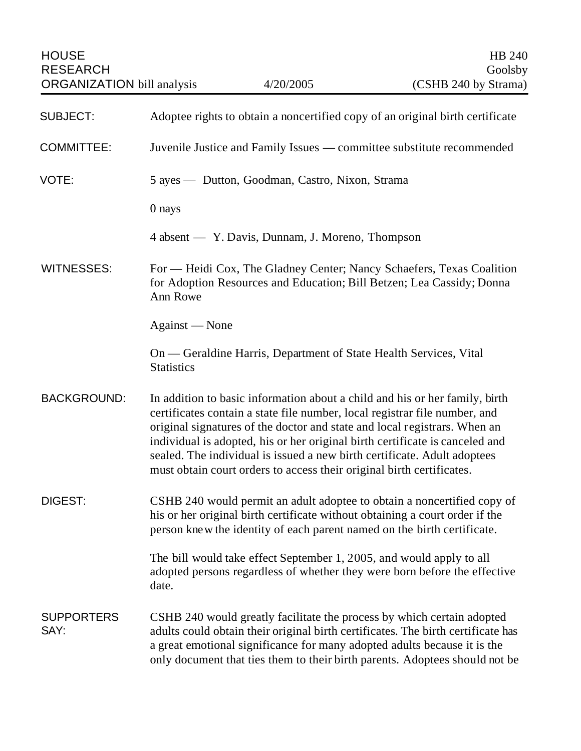HOUSE HB 240 RESEARCH Goolsby

| <b>SUBJECT:</b>           | Adoptee rights to obtain a noncertified copy of an original birth certificate                                                                                                                                                                                                                                                                                                                                                                                               |
|---------------------------|-----------------------------------------------------------------------------------------------------------------------------------------------------------------------------------------------------------------------------------------------------------------------------------------------------------------------------------------------------------------------------------------------------------------------------------------------------------------------------|
| <b>COMMITTEE:</b>         | Juvenile Justice and Family Issues — committee substitute recommended                                                                                                                                                                                                                                                                                                                                                                                                       |
| VOTE:                     | 5 ayes — Dutton, Goodman, Castro, Nixon, Strama                                                                                                                                                                                                                                                                                                                                                                                                                             |
|                           | 0 nays                                                                                                                                                                                                                                                                                                                                                                                                                                                                      |
|                           | 4 absent — Y. Davis, Dunnam, J. Moreno, Thompson                                                                                                                                                                                                                                                                                                                                                                                                                            |
| <b>WITNESSES:</b>         | For — Heidi Cox, The Gladney Center; Nancy Schaefers, Texas Coalition<br>for Adoption Resources and Education; Bill Betzen; Lea Cassidy; Donna<br>Ann Rowe                                                                                                                                                                                                                                                                                                                  |
|                           | Against — None                                                                                                                                                                                                                                                                                                                                                                                                                                                              |
|                           | On — Geraldine Harris, Department of State Health Services, Vital<br><b>Statistics</b>                                                                                                                                                                                                                                                                                                                                                                                      |
| <b>BACKGROUND:</b>        | In addition to basic information about a child and his or her family, birth<br>certificates contain a state file number, local registrar file number, and<br>original signatures of the doctor and state and local registrars. When an<br>individual is adopted, his or her original birth certificate is canceled and<br>sealed. The individual is issued a new birth certificate. Adult adoptees<br>must obtain court orders to access their original birth certificates. |
| <b>DIGEST:</b>            | CSHB 240 would permit an adult adoptee to obtain a noncertified copy of<br>his or her original birth certificate without obtaining a court order if the<br>person knew the identity of each parent named on the birth certificate.                                                                                                                                                                                                                                          |
|                           | The bill would take effect September 1, 2005, and would apply to all<br>adopted persons regardless of whether they were born before the effective<br>date.                                                                                                                                                                                                                                                                                                                  |
| <b>SUPPORTERS</b><br>SAY: | CSHB 240 would greatly facilitate the process by which certain adopted<br>adults could obtain their original birth certificates. The birth certificate has<br>a great emotional significance for many adopted adults because it is the<br>only document that ties them to their birth parents. Adoptees should not be                                                                                                                                                       |